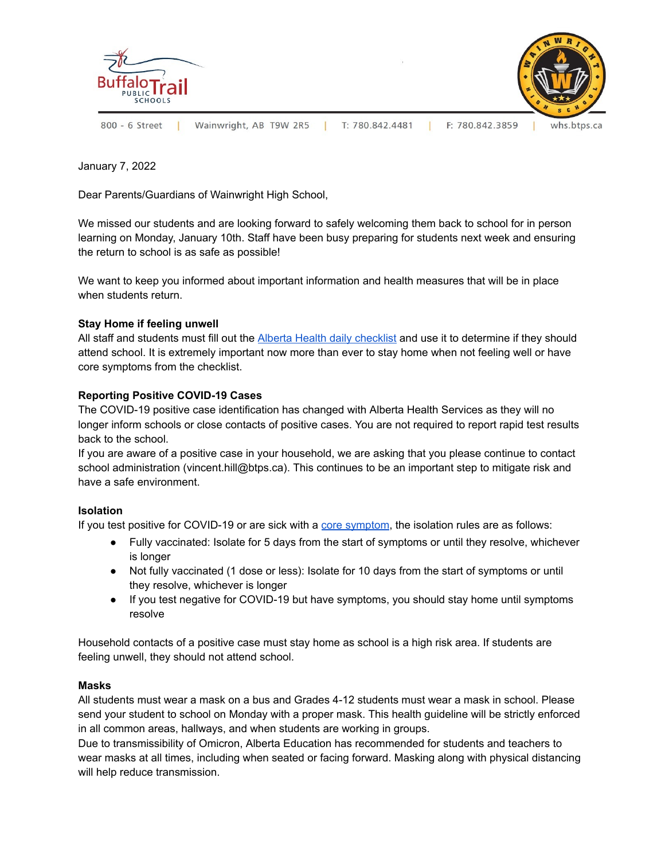

January 7, 2022

Dear Parents/Guardians of Wainwright High School,

We missed our students and are looking forward to safely welcoming them back to school for in person learning on Monday, January 10th. Staff have been busy preparing for students next week and ensuring the return to school is as safe as possible!

We want to keep you informed about important information and health measures that will be in place when students return.

### **Stay Home if feeling unwell**

All staff and students must fill out the Alberta Health daily [checklist](https://open.alberta.ca/dataset/56c020ed-1782-4c6c-bfdd-5af36754471f/resource/58957831-a4ab-45ff-9a8e-3c6af7c1622e/download/covid-19-information-alberta-health-daily-checklist-2021-09.pdf) and use it to determine if they should attend school. It is extremely important now more than ever to stay home when not feeling well or have core symptoms from the checklist.

#### **Reporting Positive COVID-19 Cases**

The COVID-19 positive case identification has changed with Alberta Health Services as they will no longer inform schools or close contacts of positive cases. You are not required to report rapid test results back to the school.

If you are aware of a positive case in your household, we are asking that you please continue to contact school administration (vincent.hill[@btps.ca](mailto:kimberly.deford@btps.ca)). This continues to be an important step to mitigate risk and have a safe environment.

#### **Isolation**

If you test positive for COVID-19 or are sick with a core [symptom](https://www.alberta.ca/covid-19-testing-in-alberta.aspx), the isolation rules are as follows:

- Fully vaccinated: Isolate for 5 days from the start of symptoms or until they resolve, whichever is longer
- Not fully vaccinated (1 dose or less): Isolate for 10 days from the start of symptoms or until they resolve, whichever is longer
- If you test negative for COVID-19 but have symptoms, you should stay home until symptoms resolve

Household contacts of a positive case must stay home as school is a high risk area. If students are feeling unwell, they should not attend school.

#### **Masks**

All students must wear a mask on a bus and Grades 4-12 students must wear a mask in school. Please send your student to school on Monday with a proper mask. This health guideline will be strictly enforced in all common areas, hallways, and when students are working in groups.

Due to transmissibility of Omicron, Alberta Education has recommended for students and teachers to wear masks at all times, including when seated or facing forward. Masking along with physical distancing will help reduce transmission.